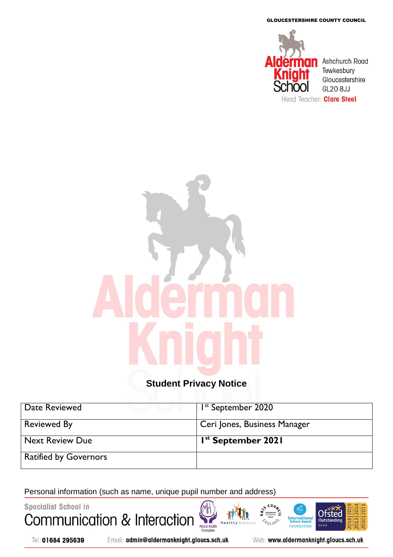GLOUCESTERSHIRE COUNTY COUNCIL



# **Student Privacy Notice**

| Date Reviewed                | I <sup>st</sup> September 2020 |
|------------------------------|--------------------------------|
| <b>Reviewed By</b>           | Ceri Jones, Business Manager   |
| <b>Next Review Due</b>       | I <sup>st</sup> September 2021 |
| <b>Ratified by Governors</b> |                                |

Mental Health<br>Champions

Healt

Personal information (such as name, unique pupil number and address) $\frac{1}{\frac{\text{ARTSMAR}}{1-\frac{1}{2}}}$ 

**Specialist School in** Communication & Interaction



Email: admin@aldermanknight.gloucs.sch.uk

Web: www.aldermanknight.gloucs.sch.uk

**International**<br>School Award

FOU **DATIO** 

**NGLAND** 

**Ofsted** 

Outstand

**Schoo** 

 $010120$ 

**2018**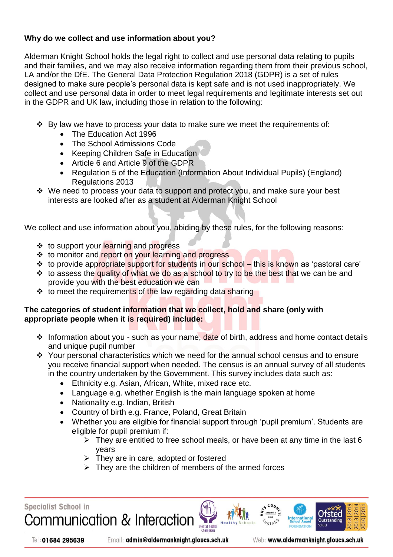# **Why do we collect and use information about you?**

Alderman Knight School holds the legal right to collect and use personal data relating to pupils and their families, and we may also receive information regarding them from their previous school, LA and/or the DfE. The General Data Protection Regulation 2018 (GDPR) is a set of rules designed to make sure people's personal data is kept safe and is not used inappropriately. We collect and use personal data in order to meet legal requirements and legitimate interests set out in the GDPR and UK law, including those in relation to the following:

- $\cdot$  By law we have to process your data to make sure we meet the requirements of:
	- The Education Act 1996
	- The School Admissions Code
	- Keeping Children Safe in Education
	- Article 6 and Article 9 of the GDPR
	- Regulation 5 of the Education (Information About Individual Pupils) (England) Regulations 2013
- We need to process your data to support and protect you, and make sure your best interests are looked after as a student at Alderman Knight School

We collect and use information about you, abiding by these rules, for the following reasons:

- ❖ to support your learning and progress
- ❖ to monitor and report on your learning and progress
- **\*** to provide appropriate support for students in our school this is known as 'pastoral care'
- **\*** to assess the quality of what we do as a school to try to be the best that we can be and provide you with the best education we can
- ❖ to meet the requirements of the law regarding data sharing

## **The categories of student information that we collect, hold and share (only with appropriate people when it is required) include:**

- ❖ Information about you such as your name, date of birth, address and home contact details and unique pupil number
- \* Your personal characteristics which we need for the annual school census and to ensure you receive financial support when needed. The census is an annual survey of all students in the country undertaken by the Government. This survey includes data such as:
	- Ethnicity e.g. Asian, African, White, mixed race etc.
	- Language e.g. whether English is the main language spoken at home
	- Nationality e.g. Indian, British
	- Country of birth e.g. France, Poland, Great Britain
	- Whether you are eligible for financial support through 'pupil premium'. Students are eligible for pupil premium if:

**Mental Health** 

- $\triangleright$  They are entitled to free school meals, or have been at any time in the last 6 years
- $\triangleright$  They are in care, adopted or fostered
- $\triangleright$  They are the children of members of the armed forces

**Specialist School in** Communication & Interaction

Tel: 01684 295639

Email: admin@aldermanknight.gloucs.sch.uk

Web: www.aldermanknight.gloucs.sch.uk

Otstec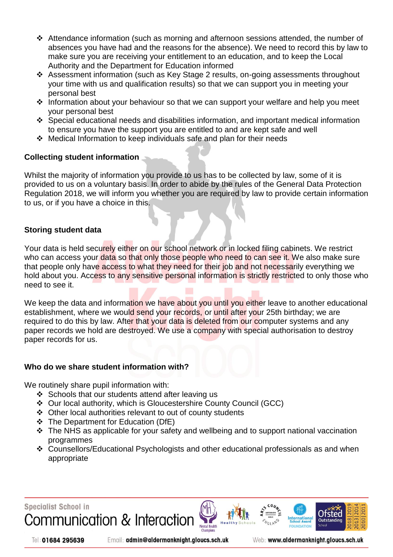- $\div$  Attendance information (such as morning and afternoon sessions attended, the number of absences you have had and the reasons for the absence). We need to record this by law to make sure you are receiving your entitlement to an education, and to keep the Local Authority and the Department for Education informed
- Assessment information (such as Key Stage 2 results, on-going assessments throughout your time with us and qualification results) so that we can support you in meeting your personal best
- $\cdot$  Information about your behaviour so that we can support your welfare and help you meet your personal best
- Special educational needs and disabilities information, and important medical information to ensure you have the support you are entitled to and are kept safe and well
- $\div$  Medical Information to keep individuals safe and plan for their needs

# **Collecting student information**

Whilst the majority of information you provide to us has to be collected by law, some of it is provided to us on a voluntary basis. In order to abide by the rules of the General Data Protection Regulation 2018, we will inform you whether you are required by law to provide certain information to us, or if you have a choice in this.

## **Storing student data**

Your data is held securely either on our school network or in locked filing cabinets. We restrict who can access your data so that only those people who need to can see it. We also make sure that people only have access to what they need for their job and not necessarily everything we hold about you. Access to any sensitive personal information is strictly restricted to only those who need to see it.

We keep the data and information we have about you until you either leave to another educational establishment, where we would send your records, or until after your 25th birthday; we are required to do this by law. After that your data is deleted from our computer systems and any paper records we hold are destroyed. We use a company with special authorisation to destroy paper records for us.

#### **Who do we share student information with?**

We routinely share pupil information with:

- $\div$  Schools that our students attend after leaving us
- Our local authority, which is Gloucestershire County Council (GCC)
- Other local authorities relevant to out of county students
- The Department for Education (DfE)
- $\div$  The NHS as applicable for your safety and wellbeing and to support national vaccination programmes
- Counsellors/Educational Psychologists and other educational professionals as and when appropriate

**Mental Health** 





Email: admin@aldermanknight.gloucs.sch.uk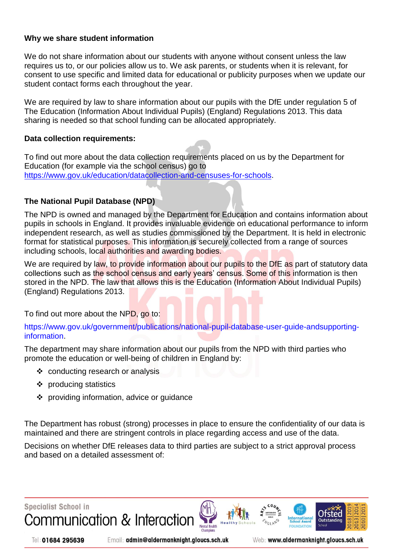#### **Why we share student information**

We do not share information about our students with anyone without consent unless the law requires us to, or our policies allow us to. We ask parents, or students when it is relevant, for consent to use specific and limited data for educational or publicity purposes when we update our student contact forms each throughout the year.

We are required by law to share information about our pupils with the DfE under regulation 5 of The Education (Information About Individual Pupils) (England) Regulations 2013. This data sharing is needed so that school funding can be allocated appropriately.

## **Data collection requirements:**

To find out more about the data collection requirements placed on us by the Department for Education (for example via the school census) go to [https://www.gov.uk/education/datacollection-and-censuses-for-schools.](https://www.gov.uk/education/datacollection-and-censuses-for-schools)

# **The National Pupil Database (NPD)**

The NPD is owned and managed by the Department for Education and contains information about pupils in schools in England. It provides invaluable evidence on educational performance to inform independent research, as well as studies commissioned by the Department. It is held in electronic format for statistical purposes. This information is securely collected from a range of sources including schools, local authorities and awarding bodies.

We are required by law, to provide information about our pupils to the DfE as part of statutory data collections such as the school census and early years' census. Some of this information is then stored in the NPD. The law that allows this is the Education (Information About Individual Pupils) (England) Regulations 2013.

To find out more about the NPD, go to:

https://www.gov.uk/government/publications/national-pupil-database-user-guide-andsupportinginformation.

The department may share information about our pupils from the NPD with third parties who promote the education or well-being of children in England by:

- conducting research or analysis
- $\triangleleft$  producing statistics
- ❖ providing information, advice or guidance

The Department has robust (strong) processes in place to ensure the confidentiality of our data is maintained and there are stringent controls in place regarding access and use of the data.

Decisions on whether DfE releases data to third parties are subject to a strict approval process and based on a detailed assessment of:



Tel: 01684 295639

Email: admin@aldermanknight.gloucs.sch.uk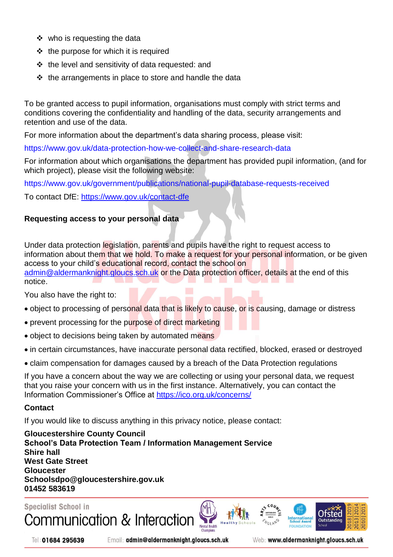- ❖ who is requesting the data
- $\div$  the purpose for which it is required
- $\cdot\cdot\cdot$  the level and sensitivity of data requested: and
- $\cdot \cdot$  the arrangements in place to store and handle the data

To be granted access to pupil information, organisations must comply with strict terms and conditions covering the confidentiality and handling of the data, security arrangements and retention and use of the data.

For more information about the department's data sharing process, please visit:

https://www.gov.uk/data-protection-how-we-collect-and-share-research-data

For information about which organisations the department has provided pupil information, (and for which project), please visit the following website:

https://www.gov.uk/government/publications/national-pupil-database-requests-received

To contact DfE:<https://www.gov.uk/contact-dfe>

# **Requesting access to your personal data**

Under data protection legislation, parents and pupils have the right to request access to information about them that we hold. To make a request for your personal information, or be given access to your child's educational record, contact the school on [admin@aldermanknight.gloucs.sch.uk](mailto:admin@aldermanknight.gloucs.sch.uk) or the Data protection officer, details at the end of this

You also have the right to:

- object to processing of personal data that is likely to cause, or is causing, damage or distress
- prevent processing for the purpose of direct marketing
- object to decisions being taken by automated means
- in certain circumstances, have inaccurate personal data rectified, blocked, erased or destroyed
- claim compensation for damages caused by a breach of the Data Protection regulations

If you have a concern about the way we are collecting or using your personal data, we request that you raise your concern with us in the first instance. Alternatively, you can contact the Information Commissioner's Office at<https://ico.org.uk/concerns/>

#### **Contact**

notice.

If you would like to discuss anything in this privacy notice, please contact:

**Gloucestershire County Council School's Data Protection Team / Information Management Service Shire hall West Gate Street Gloucester Schoolsdpo@gloucestershire.gov.uk 01452 583619**









Tel: 01684 295639

Email: admin@aldermanknight.gloucs.sch.uk